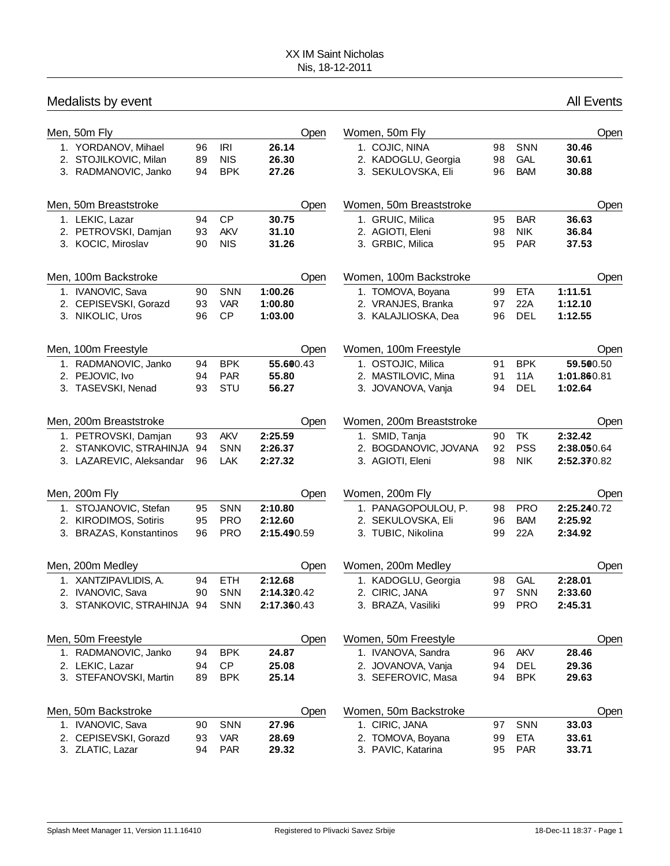| Medalists by event                                                   |                |                                        |                         |                                                             |                |                          | <b>All Events</b>       |      |
|----------------------------------------------------------------------|----------------|----------------------------------------|-------------------------|-------------------------------------------------------------|----------------|--------------------------|-------------------------|------|
| Men, 50m Fly                                                         |                |                                        | Open                    | Women, 50m Fly                                              |                |                          |                         | Open |
| 1. YORDANOV, Mihael<br>2. STOJILKOVIC, Milan<br>3. RADMANOVIC, Janko | 96<br>89<br>94 | <b>IRI</b><br><b>NIS</b><br><b>BPK</b> | 26.14<br>26.30<br>27.26 | 1. COJIC, NINA<br>2. KADOGLU, Georgia<br>3. SEKULOVSKA, Eli | 98<br>98<br>96 | SNN<br>GAL<br><b>BAM</b> | 30.46<br>30.61<br>30.88 |      |
| Men, 50m Breaststroke                                                |                |                                        | Open                    | Women, 50m Breaststroke                                     |                |                          |                         | Open |
| 1. LEKIC, Lazar                                                      | 94             | CP                                     | 30.75                   | 1. GRUIC, Milica                                            | 95             | <b>BAR</b>               | 36.63                   |      |
| 2. PETROVSKI, Damjan                                                 | 93             | <b>AKV</b>                             | 31.10                   | 2. AGIOTI, Eleni                                            | 98             | <b>NIK</b>               | 36.84                   |      |
| 3. KOCIC, Miroslav                                                   | 90             | <b>NIS</b>                             | 31.26                   | 3. GRBIC, Milica                                            | 95             | <b>PAR</b>               | 37.53                   |      |
| Men, 100m Backstroke                                                 |                |                                        | Open                    | Women, 100m Backstroke                                      |                |                          |                         | Open |
| 1. IVANOVIC, Sava                                                    | 90             | <b>SNN</b>                             | 1:00.26                 | 1. TOMOVA, Boyana                                           | 99             | <b>ETA</b>               | 1:11.51                 |      |
| 2. CEPISEVSKI, Gorazd                                                | 93             | <b>VAR</b>                             | 1:00.80                 | 2. VRANJES, Branka                                          | 97             | 22A                      | 1:12.10                 |      |
| 3. NIKOLIC, Uros                                                     | 96             | <b>CP</b>                              | 1:03.00                 | 3. KALAJLIOSKA, Dea                                         | 96             | <b>DEL</b>               | 1:12.55                 |      |
| Men, 100m Freestyle                                                  |                |                                        | Open                    | Women, 100m Freestyle                                       |                |                          |                         | Open |
| 1. RADMANOVIC, Janko                                                 | 94             | <b>BPK</b>                             | 55.600.43               | 1. OSTOJIC, Milica                                          | 91             | <b>BPK</b>               | 59.500.50               |      |
| 2. PEJOVIC, Ivo                                                      | 94             | <b>PAR</b>                             | 55.80                   | 2. MASTILOVIC, Mina                                         | 91             | 11A                      | 1:01.860.81             |      |
| 3. TASEVSKI, Nenad                                                   | 93             | STU                                    | 56.27                   | 3. JOVANOVA, Vanja                                          | 94             | <b>DEL</b>               | 1:02.64                 |      |
| Men, 200m Breaststroke                                               |                |                                        | Open                    | Women, 200m Breaststroke                                    |                |                          |                         | Open |
| 1. PETROVSKI, Damjan                                                 | 93             | <b>AKV</b>                             | 2:25.59                 | 1. SMID, Tanja                                              | 90             | <b>TK</b>                | 2:32.42                 |      |
| 2. STANKOVIC, STRAHINJA                                              | 94             | <b>SNN</b>                             | 2:26.37                 | 2. BOGDANOVIC, JOVANA                                       | 92             | <b>PSS</b>               | 2:38.050.64             |      |
| 3. LAZAREVIC, Aleksandar                                             | 96             | <b>LAK</b>                             | 2:27.32                 | 3. AGIOTI, Eleni                                            | 98             | <b>NIK</b>               | 2:52.370.82             |      |
| Men, 200m Fly                                                        |                |                                        | Open                    | Women, 200m Fly                                             |                |                          |                         | Open |
| 1. STOJANOVIC, Stefan                                                | 95             | <b>SNN</b>                             | 2:10.80                 | 1. PANAGOPOULOU, P.                                         | 98             | <b>PRO</b>               | 2:25.240.72             |      |
| 2. KIRODIMOS, Sotiris                                                | 95             | <b>PRO</b>                             | 2:12.60                 | 2. SEKULOVSKA, Eli                                          | 96             | <b>BAM</b>               | 2:25.92                 |      |
| 3. BRAZAS, Konstantinos                                              | 96             | <b>PRO</b>                             | 2:15.490.59             | 3. TUBIC, Nikolina                                          | 99             | 22A                      | 2:34.92                 |      |
| Men, 200m Medley                                                     |                |                                        | Open                    | Women, 200m Medley                                          |                |                          |                         | Open |
| 1. XANTZIPAVLIDIS, A.                                                | 94             | ETH                                    | 2:12.68                 | 1. KADOGLU, Georgia                                         | 98             | GAL                      | 2:28.01                 |      |
| 2. IVANOVIC, Sava                                                    | 90             | <b>SNN</b>                             | 2:14.320.42             | 2. CIRIC, JANA                                              | 97             | SNN                      | 2:33.60                 |      |
| 3. STANKOVIC, STRAHINJA                                              | 94             | SNN                                    | 2:17.360.43             | 3. BRAZA, Vasiliki                                          | 99             | <b>PRO</b>               | 2:45.31                 |      |
| Men, 50m Freestyle                                                   |                |                                        | Open                    | Women, 50m Freestyle                                        |                |                          |                         | Open |
| 1. RADMANOVIC, Janko                                                 | 94             | <b>BPK</b>                             | 24.87                   | 1. IVANOVA, Sandra                                          | 96             | AKV                      | 28.46                   |      |
| 2. LEKIC, Lazar                                                      | 94             | <b>CP</b>                              | 25.08                   | 2. JOVANOVA, Vanja                                          | 94             | <b>DEL</b>               | 29.36                   |      |
| 3. STEFANOVSKI, Martin                                               | 89             | <b>BPK</b>                             | 25.14                   | 3. SEFEROVIC, Masa                                          | 94             | <b>BPK</b>               | 29.63                   |      |
| Men, 50m Backstroke                                                  |                |                                        | Open                    | Women, 50m Backstroke                                       |                |                          |                         | Open |
| 1. IVANOVIC, Sava                                                    | 90             | <b>SNN</b>                             | 27.96                   | 1. CIRIC, JANA                                              | 97             | SNN                      | 33.03                   |      |
| 2. CEPISEVSKI, Gorazd                                                | 93             | <b>VAR</b>                             | 28.69                   | 2. TOMOVA, Boyana                                           | 99             | <b>ETA</b>               | 33.61                   |      |
| 3. ZLATIC, Lazar                                                     | 94             | <b>PAR</b>                             | 29.32                   | 3. PAVIC, Katarina                                          | 95             | <b>PAR</b>               | 33.71                   |      |